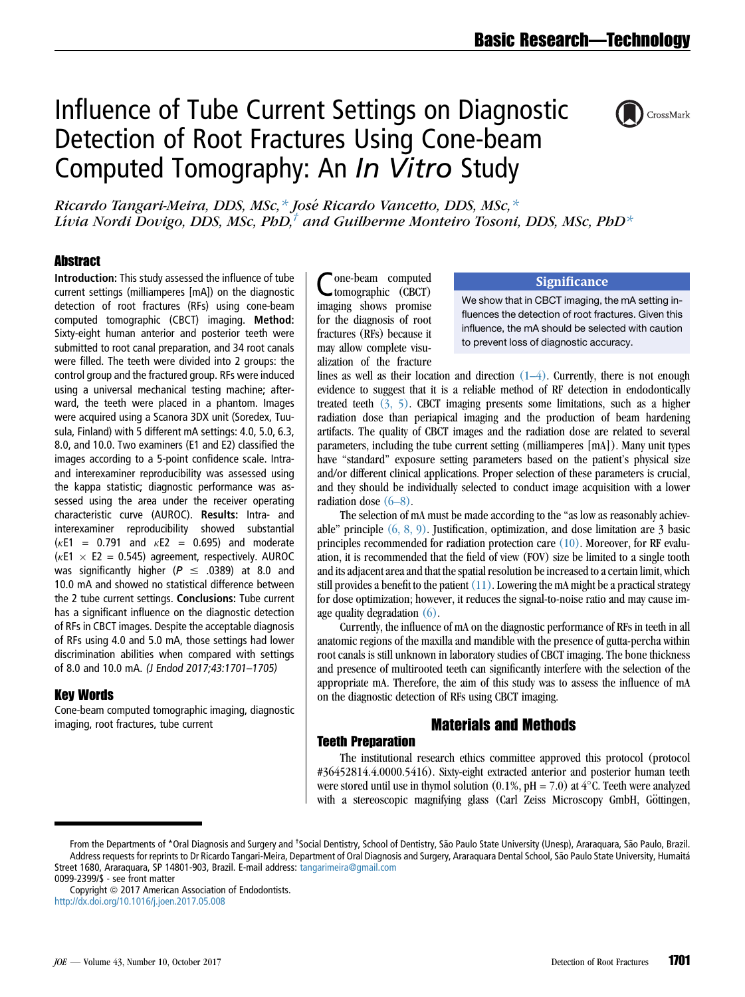# Influence of Tube Current Settings on Diagnostic Detection of Root Fractures Using Cone-beam Computed Tomography: An *In Vitro* Study



Ricardo Tangari-Meira, DDS, MSc,\* Jose Ricardo Vancetto, DDS, MSc,\* Lívia Nordi Dovigo, DDS, MSc, PhD, $^{\dagger}$  and Guilherme Monteiro Tosoni, DDS, MSc, PhD\*

# **Abstract**

Introduction: This study assessed the influence of tube current settings (milliamperes [mA]) on the diagnostic detection of root fractures (RFs) using cone-beam computed tomographic (CBCT) imaging. Method: Sixty-eight human anterior and posterior teeth were submitted to root canal preparation, and 34 root canals were filled. The teeth were divided into 2 groups: the control group and the fractured group. RFs were induced using a universal mechanical testing machine; afterward, the teeth were placed in a phantom. Images were acquired using a Scanora 3DX unit (Soredex, Tuusula, Finland) with 5 different mA settings: 4.0, 5.0, 6.3, 8.0, and 10.0. Two examiners (E1 and E2) classified the images according to a 5-point confidence scale. Intraand interexaminer reproducibility was assessed using the kappa statistic; diagnostic performance was assessed using the area under the receiver operating characteristic curve (AUROC). Results: Intra- and interexaminer reproducibility showed substantial  $(kE1 = 0.791$  and  $kE2 = 0.695)$  and moderate ( $\kappa$ E1  $\times$  E2 = 0.545) agreement, respectively. AUROC was significantly higher ( $P \leq .0389$ ) at 8.0 and 10.0 mA and showed no statistical difference between the 2 tube current settings. Conclusions: Tube current has a significant influence on the diagnostic detection of RFs in CBCT images. Despite the acceptable diagnosis of RFs using 4.0 and 5.0 mA, those settings had lower discrimination abilities when compared with settings of 8.0 and 10.0 mA. (J Endod 2017;43:1701–1705)

# Key Words

Cone-beam computed tomographic imaging, diagnostic imaging, root fractures, tube current

Cone-beam computed tomographic (CBCT) imaging shows promise for the diagnosis of root fractures (RFs) because it may allow complete visualization of the fracture

## **Significance**

We show that in CBCT imaging, the mA setting influences the detection of root fractures. Given this influence, the mA should be selected with caution to prevent loss of diagnostic accuracy.

lines as well as their location and direction  $(1-4)$ . Currently, there is not enough evidence to suggest that it is a reliable method of RF detection in endodontically treated teeth [\(3, 5\)](#page-4-0). CBCT imaging presents some limitations, such as a higher radiation dose than periapical imaging and the production of beam hardening artifacts. The quality of CBCT images and the radiation dose are related to several parameters, including the tube current setting (milliamperes [mA]). Many unit types have "standard" exposure setting parameters based on the patient's physical size and/or different clinical applications. Proper selection of these parameters is crucial, and they should be individually selected to conduct image acquisition with a lower radiation dose [\(6–8\).](#page-4-0)

The selection of mA must be made according to the ''as low as reasonably achievable" principle  $(6, 8, 9)$ . Justification, optimization, and dose limitation are 3 basic principles recommended for radiation protection care [\(10\)](#page-4-0). Moreover, for RF evaluation, it is recommended that the field of view (FOV) size be limited to a single tooth and its adjacent area and that the spatial resolution be increased to a certain limit, which still provides a benefit to the patient  $(11)$ . Lowering the mA might be a practical strategy for dose optimization; however, it reduces the signal-to-noise ratio and may cause image quality degradation [\(6\).](#page-4-0)

Currently, the influence of mA on the diagnostic performance of RFs in teeth in all anatomic regions of the maxilla and mandible with the presence of gutta-percha within root canals is still unknown in laboratory studies of CBCT imaging. The bone thickness and presence of multirooted teeth can significantly interfere with the selection of the appropriate mA. Therefore, the aim of this study was to assess the influence of mA on the diagnostic detection of RFs using CBCT imaging.

# Materials and Methods

# Teeth Preparation

The institutional research ethics committee approved this protocol (protocol #36452814.4.0000.5416). Sixty-eight extracted anterior and posterior human teeth were stored until use in thymol solution (0.1%,  $pH = 7.0$ ) at  $4^{\circ}$ C. Teeth were analyzed with a stereoscopic magnifying glass (Carl Zeiss Microscopy GmbH, Göttingen,

From the Departments of \*Oral Diagnosis and Surgery and <sup>†</sup>Social Dentistry, School of Dentistry, São Paulo State University (Unesp), Araraquara, São Paulo, Brazil. Address requests for reprints to Dr Ricardo Tangari-Meira, Department of Oral Diagnosis and Surgery, Araraquara Dental School, São Paulo State University, Humaitá Street 1680, Araraquara, SP 14801-903, Brazil. E-mail address: [tangarimeira@gmail.com](mailto:tangarimeira@gmail.com)

<sup>0099-2399/\$ -</sup> see front matter

Copyright © 2017 American Association of Endodontists. <http://dx.doi.org/10.1016/j.joen.2017.05.008>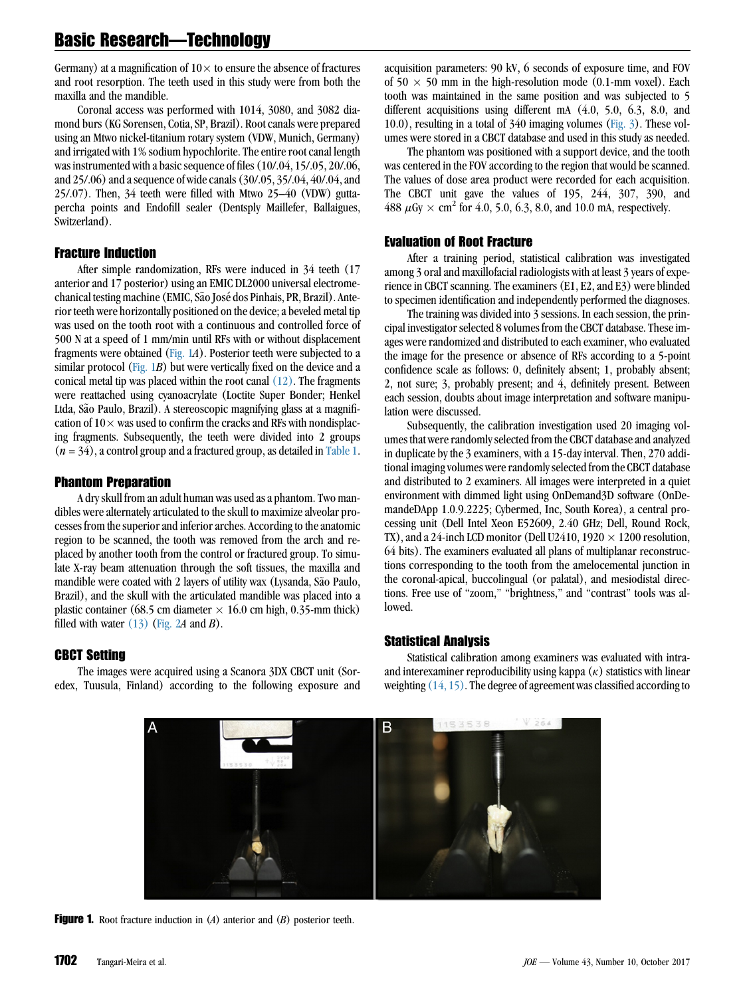Germany) at a magnification of  $10 \times$  to ensure the absence of fractures and root resorption. The teeth used in this study were from both the maxilla and the mandible.

Coronal access was performed with 1014, 3080, and 3082 diamond burs (KG Sorensen, Cotia, SP, Brazil). Root canals were prepared using an Mtwo nickel-titanium rotary system (VDW, Munich, Germany) and irrigated with 1% sodium hypochlorite. The entire root canal length was instrumented with a basic sequence of files (10/.04, 15/.05, 20/.06, and 25/.06) and a sequence of wide canals (30/.05, 35/.04, 40/.04, and 25/.07). Then, 34 teeth were filled with Mtwo 25–40 (VDW) guttapercha points and Endofill sealer (Dentsply Maillefer, Ballaigues, Switzerland).

#### Fracture Induction

After simple randomization, RFs were induced in 34 teeth (17 anterior and 17 posterior) using an EMIC DL2000 universal electromechanical testing machine (EMIC, São José dos Pinhais, PR, Brazil). Anterior teeth were horizontally positioned on the device; a beveled metal tip was used on the tooth root with a continuous and controlled force of 500 N at a speed of 1 mm/min until RFs with or without displacement fragments were obtained (Fig. 1A). Posterior teeth were subjected to a similar protocol (Fig. 1B) but were vertically fixed on the device and a conical metal tip was placed within the root canal [\(12\)](#page-4-0). The fragments were reattached using cyanoacrylate (Loctite Super Bonder; Henkel Ltda, São Paulo, Brazil). A stereoscopic magnifying glass at a magnification of  $10 \times$  was used to confirm the cracks and RFs with nondisplacing fragments. Subsequently, the teeth were divided into 2 groups  $(n = 34)$ , a control group and a fractured group, as detailed in [Table 1.](#page-2-0)

### Phantom Preparation

A dry skull from an adult human was used as a phantom. Two mandibles were alternately articulated to the skull to maximize alveolar processes from the superior and inferior arches. According to the anatomic region to be scanned, the tooth was removed from the arch and replaced by another tooth from the control or fractured group. To simulate X-ray beam attenuation through the soft tissues, the maxilla and mandible were coated with 2 layers of utility wax (Lysanda, São Paulo, Brazil), and the skull with the articulated mandible was placed into a plastic container (68.5 cm diameter  $\times$  16.0 cm high, 0.35-mm thick) filled with water  $(13)$  [\(Fig. 2](#page-2-0)A and B).

# CBCT Setting

The images were acquired using a Scanora 3DX CBCT unit (Soredex, Tuusula, Finland) according to the following exposure and acquisition parameters: 90 kV, 6 seconds of exposure time, and FOV of  $50 \times 50$  mm in the high-resolution mode (0.1-mm voxel). Each tooth was maintained in the same position and was subjected to 5 different acquisitions using different mA (4.0, 5.0, 6.3, 8.0, and 10.0), resulting in a total of 340 imaging volumes ([Fig. 3\)](#page-3-0). These volumes were stored in a CBCT database and used in this study as needed.

The phantom was positioned with a support device, and the tooth was centered in the FOV according to the region that would be scanned. The values of dose area product were recorded for each acquisition. The CBCT unit gave the values of 195, 244, 307, 390, and 488  $\mu$ Gy  $\times$  cm<sup>2</sup> for 4.0, 5.0, 6.3, 8.0, and 10.0 mA, respectively.

#### Evaluation of Root Fracture

After a training period, statistical calibration was investigated among 3 oral and maxillofacial radiologists with at least 3 years of experience in CBCT scanning. The examiners (E1, E2, and E3) were blinded to specimen identification and independently performed the diagnoses.

The training was divided into 3 sessions. In each session, the principal investigator selected 8 volumes from the CBCT database. These images were randomized and distributed to each examiner, who evaluated the image for the presence or absence of RFs according to a 5-point confidence scale as follows: 0, definitely absent; 1, probably absent; 2, not sure; 3, probably present; and 4, definitely present. Between each session, doubts about image interpretation and software manipulation were discussed.

Subsequently, the calibration investigation used 20 imaging volumes that were randomly selected from the CBCT database and analyzed in duplicate by the 3 examiners, with a 15-day interval. Then, 270 additional imaging volumes were randomly selected from the CBCT database and distributed to 2 examiners. All images were interpreted in a quiet environment with dimmed light using OnDemand3D software (OnDemandeDApp 1.0.9.2225; Cybermed, Inc, South Korea), a central processing unit (Dell Intel Xeon E52609, 2.40 GHz; Dell, Round Rock, TX), and a 24-inch LCD monitor (Dell U2410, 1920  $\times$  1200 resolution, 64 bits). The examiners evaluated all plans of multiplanar reconstructions corresponding to the tooth from the amelocemental junction in the coronal-apical, buccolingual (or palatal), and mesiodistal directions. Free use of ''zoom,'' ''brightness,'' and ''contrast'' tools was allowed.

#### Statistical Analysis

Statistical calibration among examiners was evaluated with intraand interexaminer reproducibility using kappa  $(\kappa)$  statistics with linear weighting  $(14, 15)$ . The degree of agreement was classified according to



**Figure 1.** Root fracture induction in  $(A)$  anterior and  $(B)$  posterior teeth.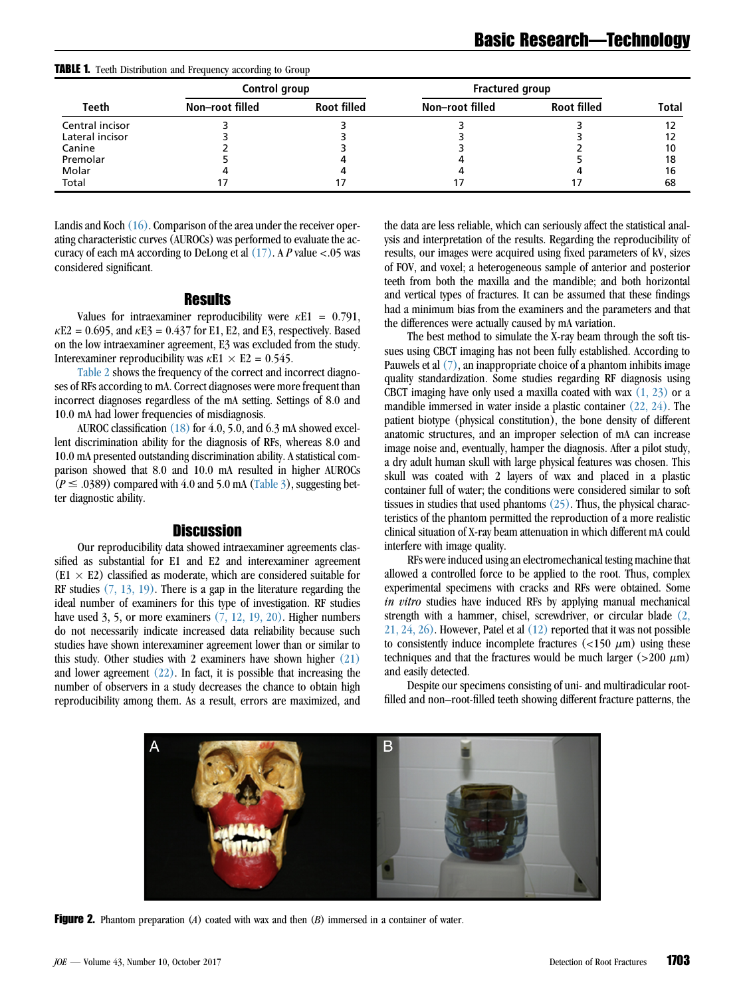<span id="page-2-0"></span>

|  |  | TABLE 1. Teeth Distribution and Frequency according to Group |  |  |  |  |  |
|--|--|--------------------------------------------------------------|--|--|--|--|--|
|--|--|--------------------------------------------------------------|--|--|--|--|--|

|                 | Control group   |                    | Fractured group |                    |              |
|-----------------|-----------------|--------------------|-----------------|--------------------|--------------|
| Teeth           | Non-root filled | <b>Root filled</b> | Non-root filled | <b>Root filled</b> | <b>Total</b> |
| Central incisor |                 |                    |                 |                    |              |
| Lateral incisor |                 |                    |                 |                    |              |
| Canine          |                 |                    |                 |                    |              |
| Premolar        |                 |                    |                 |                    | 18           |
| Molar           |                 |                    |                 |                    | 16           |
| Total           |                 |                    |                 |                    | 68           |

Landis and Koch [\(16\).](#page-4-0) Comparison of the area under the receiver operating characteristic curves (AUROCs) was performed to evaluate the accuracy of each mA according to DeLong et al  $(17)$ . A P value <.05 was considered significant.

### **Results**

Values for intraexaminer reproducibility were  $\kappa E1 = 0.791$ ,  $\kappa$ E2 = 0.695, and  $\kappa$ E3 = 0.437 for E1, E2, and E3, respectively. Based on the low intraexaminer agreement, E3 was excluded from the study. Interexaminer reproducibility was  $\kappa E1 \times E2 = 0.545$ .

[Table 2](#page-3-0) shows the frequency of the correct and incorrect diagnoses of RFs according to mA. Correct diagnoses were more frequent than incorrect diagnoses regardless of the mA setting. Settings of 8.0 and 10.0 mA had lower frequencies of misdiagnosis.

AUROC classification [\(18\)](#page-4-0) for 4.0, 5.0, and 6.3 mA showed excellent discrimination ability for the diagnosis of RFs, whereas 8.0 and 10.0 mA presented outstanding discrimination ability. A statistical comparison showed that 8.0 and 10.0 mA resulted in higher AUROCs  $(P \le .0389)$  compared with 4.0 and 5.0 mA ([Table 3\)](#page-3-0), suggesting better diagnostic ability.

#### **Discussion**

Our reproducibility data showed intraexaminer agreements classified as substantial for E1 and E2 and interexaminer agreement  $(E1 \times E2)$  classified as moderate, which are considered suitable for RF studies  $(7, 13, 19)$ . There is a gap in the literature regarding the ideal number of examiners for this type of investigation. RF studies have used  $3, 5$ , or more examiners  $(7, 12, 19, 20)$ . Higher numbers do not necessarily indicate increased data reliability because such studies have shown interexaminer agreement lower than or similar to this study. Other studies with 2 examiners have shown higher [\(21\)](#page-4-0) and lower agreement  $(22)$ . In fact, it is possible that increasing the number of observers in a study decreases the chance to obtain high reproducibility among them. As a result, errors are maximized, and the data are less reliable, which can seriously affect the statistical analysis and interpretation of the results. Regarding the reproducibility of results, our images were acquired using fixed parameters of kV, sizes of FOV, and voxel; a heterogeneous sample of anterior and posterior teeth from both the maxilla and the mandible; and both horizontal and vertical types of fractures. It can be assumed that these findings had a minimum bias from the examiners and the parameters and that the differences were actually caused by mA variation.

The best method to simulate the X-ray beam through the soft tissues using CBCT imaging has not been fully established. According to Pauwels et al  $(7)$ , an inappropriate choice of a phantom inhibits image quality standardization. Some studies regarding RF diagnosis using CBCT imaging have only used a maxilla coated with wax  $(1, 23)$  or a mandible immersed in water inside a plastic container [\(22, 24\)](#page-4-0). The patient biotype (physical constitution), the bone density of different anatomic structures, and an improper selection of mA can increase image noise and, eventually, hamper the diagnosis. After a pilot study, a dry adult human skull with large physical features was chosen. This skull was coated with 2 layers of wax and placed in a plastic container full of water; the conditions were considered similar to soft tissues in studies that used phantoms [\(25\).](#page-4-0) Thus, the physical characteristics of the phantom permitted the reproduction of a more realistic clinical situation of X-ray beam attenuation in which different mA could interfere with image quality.

RFs were induced using an electromechanical testing machine that allowed a controlled force to be applied to the root. Thus, complex experimental specimens with cracks and RFs were obtained. Some in vitro studies have induced RFs by applying manual mechanical strength with a hammer, chisel, screwdriver, or circular blade [\(2,](#page-4-0)  $21, 24, 26$ . However, Patel et al  $(12)$  reported that it was not possible to consistently induce incomplete fractures  $\left($  <150  $\mu$ m) using these techniques and that the fractures would be much larger ( $>200 \mu m$ ) and easily detected.

Despite our specimens consisting of uni- and multiradicular rootfilled and non–root-filled teeth showing different fracture patterns, the



**Figure 2.** Phantom preparation  $(A)$  coated with wax and then  $(B)$  immersed in a container of water.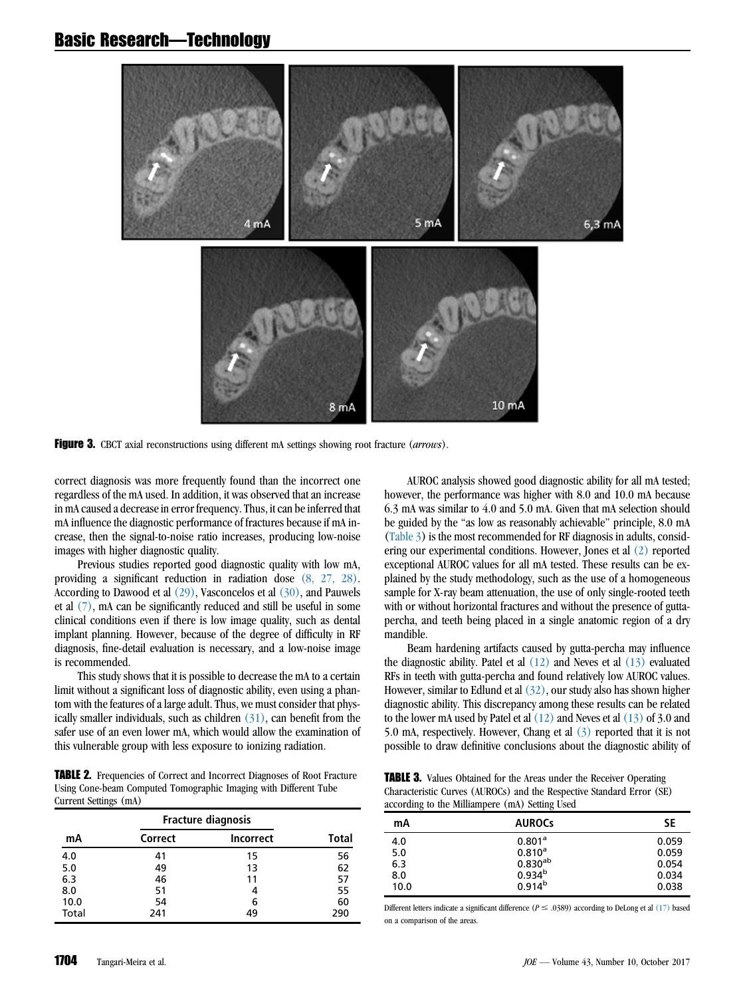# <span id="page-3-0"></span>Basic Research—Technology



Figure 3. CBCT axial reconstructions using different mA settings showing root fracture (arrows).

correct diagnosis was more frequently found than the incorrect one regardless of the mA used. In addition, it was observed that an increase in mA caused a decrease in error frequency. Thus, it can be inferred that mA influence the diagnostic performance of fractures because if mA increase, then the signal-to-noise ratio increases, producing low-noise images with higher diagnostic quality.

Previous studies reported good diagnostic quality with low mA, providing a significant reduction in radiation dose [\(8, 27, 28\).](#page-4-0) According to Dawood et al [\(29\)](#page-4-0), Vasconcelos et al [\(30\),](#page-4-0) and Pauwels et al [\(7\),](#page-4-0) mA can be significantly reduced and still be useful in some clinical conditions even if there is low image quality, such as dental implant planning. However, because of the degree of difficulty in RF diagnosis, fine-detail evaluation is necessary, and a low-noise image is recommended.

This study shows that it is possible to decrease the mA to a certain limit without a significant loss of diagnostic ability, even using a phantom with the features of a large adult. Thus, we must consider that physically smaller individuals, such as children  $(31)$ , can benefit from the safer use of an even lower mA, which would allow the examination of this vulnerable group with less exposure to ionizing radiation.

TABLE 2. Frequencies of Correct and Incorrect Diagnoses of Root Fracture Using Cone-beam Computed Tomographic Imaging with Different Tube Current Settings (mA)

|       | <b>Fracture diagnosis</b> |                  |              |
|-------|---------------------------|------------------|--------------|
| mA    | Correct                   | <b>Incorrect</b> | <b>Total</b> |
| 4.0   | 41                        | 15               | 56           |
| 5.0   | 49                        | 13               | 62           |
| 6.3   | 46                        | 11               | 57           |
| 8.0   | 51                        | 4                | 55           |
| 10.0  | 54                        | 6                | 60           |
| Total | 241                       | 49               | 290          |

AUROC analysis showed good diagnostic ability for all mA tested; however, the performance was higher with 8.0 and 10.0 mA because 6.3 mA was similar to 4.0 and 5.0 mA. Given that mA selection should be guided by the ''as low as reasonably achievable'' principle, 8.0 mA (Table 3) is the most recommended for RF diagnosis in adults, considering our experimental conditions. However, Jones et al [\(2\)](#page-4-0) reported exceptional AUROC values for all mA tested. These results can be explained by the study methodology, such as the use of a homogeneous sample for X-ray beam attenuation, the use of only single-rooted teeth with or without horizontal fractures and without the presence of guttapercha, and teeth being placed in a single anatomic region of a dry mandible.

Beam hardening artifacts caused by gutta-percha may influence the diagnostic ability. Patel et al  $(12)$  and Neves et al  $(13)$  evaluated RFs in teeth with gutta-percha and found relatively low AUROC values. However, similar to Edlund et al  $(32)$ , our study also has shown higher diagnostic ability. This discrepancy among these results can be related to the lower mA used by Patel et al  $(12)$  and Neves et al  $(13)$  of 3.0 and 5.0 mA, respectively. However, Chang et al [\(3\)](#page-4-0) reported that it is not possible to draw definitive conclusions about the diagnostic ability of

TABLE 3. Values Obtained for the Areas under the Receiver Operating Characteristic Curves (AUROCs) and the Respective Standard Error (SE) according to the Milliampere (mA) Setting Used

| mA   | <b>AUROCS</b>      | SE    |
|------|--------------------|-------|
| 4.0  | 0.801 <sup>a</sup> | 0.059 |
| 5.0  | $0.810^{a}$        | 0.059 |
| 6.3  | $0.830^{ab}$       | 0.054 |
| 8.0  | $0.934^{b}$        | 0.034 |
| 10.0 | $0.914^{b}$        | 0.038 |

Different letters indicate a significant difference ( $P \leq .0389$ ) according to DeLong et al [\(17\)](#page-4-0) based on a comparison of the areas.